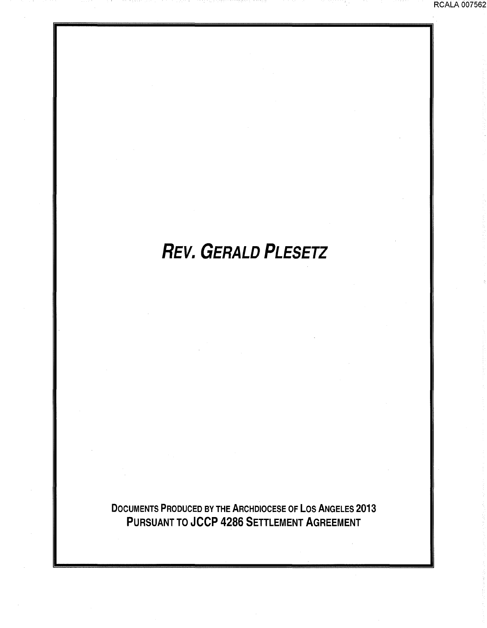#### RCALA 007562

# **REV. GERALD PLESETZ**

DOCUMENTS PRODUCED BY THE ARCHDIOCESE OF LOS ANGELES 2013 PURSUANT TO JCCP 4286 SETTLEMENT AGREEMENT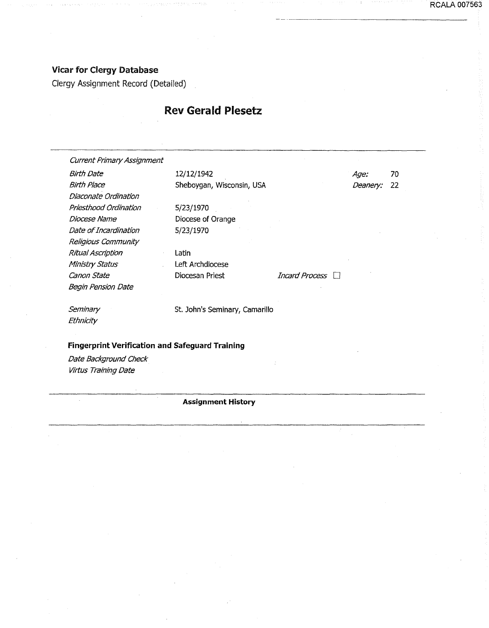RCALA 007563

#### Vicar for Clergy Database

Clergy Assignment Record (Detailed)

#### Rev Gerald Plesetz

Current Primary Assignment Birth Date 12/12/1942 Birth Place Diaconate Ordination Priesthood Ordination Diocese Name Date of Incardination Religious Community Ritual Ascription Ministry Status Canon State Begin Pension Date **Seminary Ethnicity** Sheboygan, Wisconsin, USA 5/23/1970 Diocese of Orange 5/23/1970 Latin Left Archdiocese Diocesan Priest St. John's Seminary, camarillo **Fingerprint Verification and Safeguard Training**  Date Background Check Age: 70 Deanery: 22 Incard Process  $\Box$ 

Virtus Training Date

 $\mathcal{L}$ 

#### **Assignment History**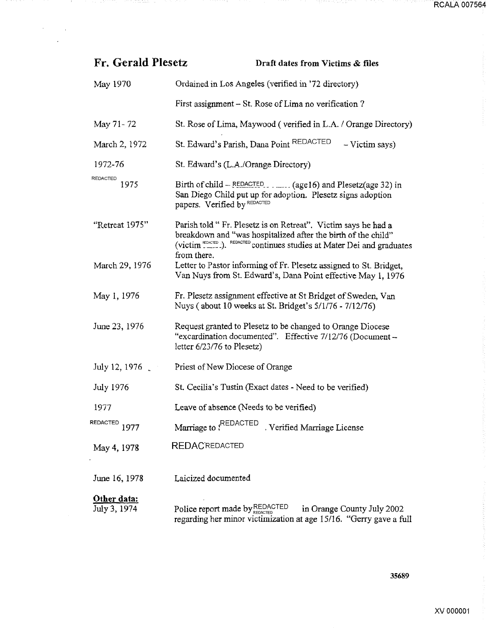| Fr. Gerald Plesetz          | Draft dates from Victims & files                                                                                                                                                                                                       |
|-----------------------------|----------------------------------------------------------------------------------------------------------------------------------------------------------------------------------------------------------------------------------------|
| May 1970                    | Ordained in Los Angeles (verified in '72 directory)                                                                                                                                                                                    |
|                             | First assignment – St. Rose of Lima no verification?                                                                                                                                                                                   |
| May 71-72                   | St. Rose of Lima, Maywood (verified in L.A. / Orange Directory)                                                                                                                                                                        |
| March 2, 1972               | St. Edward's Parish, Dana Point REDACTED<br>- Victim says)                                                                                                                                                                             |
| 1972-76                     | St. Edward's (L.A./Orange Directory)                                                                                                                                                                                                   |
| <b>REDACTED</b><br>1975     | Birth of child – REDACTED (age 16) and Plesetz (age 32) in<br>San Diego Child put up for adoption. Plesetz signs adoption<br>papers. Verified by REDACTED                                                                              |
| "Retreat 1975"              | Parish told "Fr. Plesetz is on Retreat". Victim says he had a<br>breakdown and "was hospitalized after the birth of the child"<br>(victim <sup>REDACTED</sup> .). REDACTED continues studies at Mater Dei and graduates<br>from there. |
| March 29, 1976              | Letter to Pastor informing of Fr. Plesetz assigned to St. Bridget,<br>Van Nuys from St. Edward's, Dana Point effective May 1, 1976                                                                                                     |
| May 1, 1976                 | Fr. Plesetz assignment effective at St Bridget of Sweden, Van<br>Nuys (about 10 weeks at St. Bridget's 5/1/76 - 7/12/76)                                                                                                               |
| June 23, 1976               | Request granted to Plesetz to be changed to Orange Diocese<br>"excardination documented". Effective 7/12/76 (Document -<br>letter $6/23/76$ to Plesetz)                                                                                |
| July 12, 1976               | Priest of New Diocese of Orange                                                                                                                                                                                                        |
| July 1976                   | St. Cecilia's Tustin (Exact dates - Need to be verified)                                                                                                                                                                               |
| 1977                        | Leave of absence (Needs to be verified)                                                                                                                                                                                                |
| <b>REDACTED</b><br>1977     | Marriage to {REDACTED<br>Verified Marriage License                                                                                                                                                                                     |
| May 4, 1978                 | <b>REDACREDACTED</b>                                                                                                                                                                                                                   |
| June 16, 1978               | Laicized documented                                                                                                                                                                                                                    |
| Other data:<br>July 3, 1974 | Police report made by REDACTED<br>in Orange County July 2002<br>regarding her minor victimization at age 15/16. "Gerry gave a full                                                                                                     |

14.

ngan terkeluai pin

 $\mathcal{A}^{\text{max}}_{\text{max}}$ J.

minista lab

35689

÷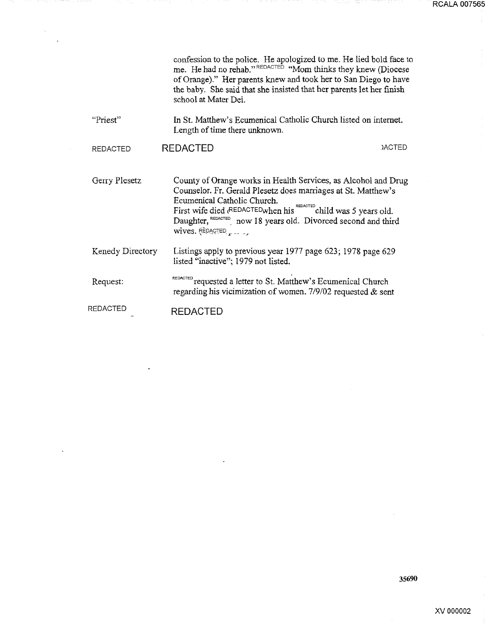|                  | confession to the police. He apologized to me. He lied bold face to<br>me. He had no rehab."REDACTED "Mom thinks they knew (Diocese<br>of Orange)." Her parents knew and took her to San Diego to have<br>the baby. She said that she insisted that her parents let her finish<br>school at Mater Dei.                             |  |
|------------------|------------------------------------------------------------------------------------------------------------------------------------------------------------------------------------------------------------------------------------------------------------------------------------------------------------------------------------|--|
| "Priest"         | In St. Matthew's Ecumenical Catholic Church listed on internet.<br>Length of time there unknown.                                                                                                                                                                                                                                   |  |
| <b>REDACTED</b>  | <b>REDACTED</b><br><b>JACTED</b>                                                                                                                                                                                                                                                                                                   |  |
| Gerry Plesetz    | County of Orange works in Health Services, as Alcohol and Drug<br>Counselor. Fr. Gerald Plesetz does marriages at St. Matthew's<br>Ecumenical Catholic Church.<br>First wife died (REDACTED when his REDACTED child was 5 years old.<br>Daughter, REDACTED now 18 years old. Divorced second and third<br>$wives.$ REDACTED $\sim$ |  |
| Kenedy Directory | Listings apply to previous year 1977 page 623; 1978 page 629<br>listed "inactive"; 1979 not listed.                                                                                                                                                                                                                                |  |
| Request:         | REDACTED requested a letter to St. Matthew's Ecumenical Church<br>regarding his vicimization of women. $7/9/02$ requested & sent                                                                                                                                                                                                   |  |
| <b>REDACTED</b>  | <b>REDACTED</b>                                                                                                                                                                                                                                                                                                                    |  |

5 H H

71

 $\overline{a}$ 

 $\hat{\beta}$ 

 $\ddot{\phantom{a}}$ 

35690

i,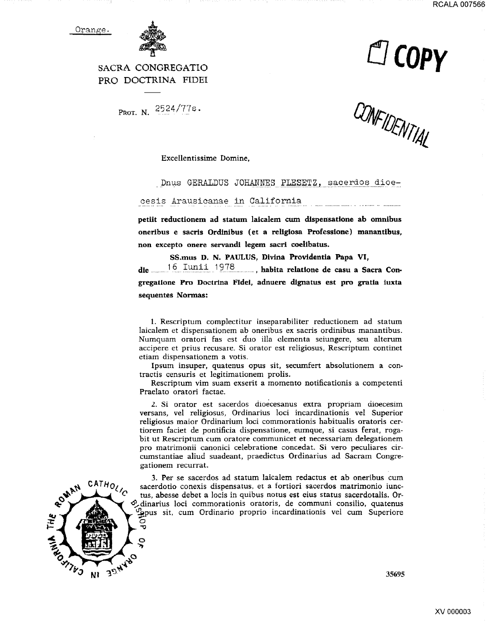

**Llcopy** 

SACRA CONGREGATIO PRO DOCTRINA FIDEI

PROT. N. 2524/77s.

CONFIDENTIAL

Excellentissime Domine,

Dnus GERALDUS JOHANNES PLESETZ, sacerdos dioe-

cesis Arausicanae in California

petiit reductionem ad statum laicalem cum dispensatione ab omnibus oneribus e sacris Ordlnibus (et a rellgiosa Professione) manantibus, non excepto onere servandi legem sacri coelibatus.

SS.mus D. N. PAULUS, Divina Providentia Papa VI, die ....... 1 6.. :1::.~-~~- \_\_ 1 ~7.~--- ........ , habita relatione de casu a Sacra Con· gregatlone Pro Doctrlna Fidei, adnuere dignatus est pro gratia iuxta sequentes Normas:

1. Rescriptum complectitur inseparabiliter reductionem ad statum laicalem et dispensationem ab oneribus ex sacris ordinibus manantibus. Numquam oratori fas est duo illa clcmenta seiungere, seu alterum accipere et prius recusare. Si orator est religiosus, Rescriptum continet etiam dispensationem a votis.

Ipsum insuper, quatenus opus sit, secumfert absolutionem a contractis censuris et legitimationem prolis.

Rescriptum vim suam exserit a momento notificationis a competenti Praelato oratori factae.

2. Si orator est sacerdos dioecesanus extra propriam dioecesim versans, vel religiosus, Ordinarius loci incardinationis vel Superior religiosus maior Ordinarium loci commorationis habitualis oratoris certiorem faciet de pontificia dispensatione, eumque, si casus ferat, ragabit ut Rescriptum cum oratore communicet et necessariam delegationem pro matrimonii canonici celebratione concedat. Si vera peculiares circumstantiae aliud suadeant, praedictus Ordinarius ad Sacram Congregationem recurrat.



3. Per se sacerdos ad statum laicalem redactus et ab oneribus cum sacerdotio conexis dispensatus, et a fortiori sacerdos matrimonio iunctus, abesse debet a locis in quibus notus est eius status sacerdotalis. Or- ~dinarius loci commorationis oratoris, de communi consilio, quatenus ~pus sit. cum Ordinario proprio incardinationis vel cum Superiore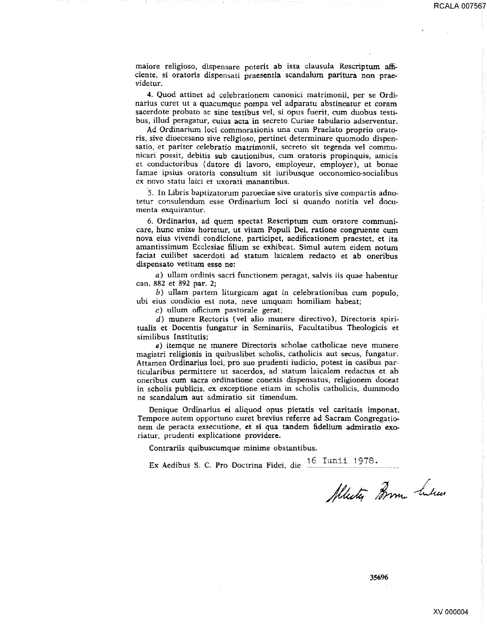maiore religioso, dispensare poterit ab ista clausula Rescriptum afficiente, si oratoris dispensati praesentia scandalum paritura non praevidetur.

4. Quod attinet ad celebrationem cananici matrimonii, per se Ordinarius curet ut a quacumque pampa vel adparatu abstineatur et coram sacerdote probata ac sine testibus vel, si opus fuerit, cum duobus testibus, illud peragatur, cuius acta in secreta Curiae tabulario adserventur.

Ad Ordinarium loci commorationis una cum Praelato proprio oratoris, sive dioecesano sive religioso, pertinet determinare quomodo dispensatio, et pariter celebratio matrimonii, secreto sit tegenda vel cammunicari possit, debitis sub cautionibus, cum oratoris propinquis, amicis et conductoribus (datore di Iavoro, employeur, employer), ut bonae famae ipsius oratoris consultum sit iuribusque oeconomico-socialibus ex novo statu laici et uxorati manantibus.

5. In Libris baptizatorum paroeciae sive oratoris sive compartis adnotetur consulendum esse Ordinarium loci si quando notitia vel documenta exquirantur.

6. Ordinarius, ad quem spectat Rescriptum cum oratore communicare, hunc enixe hortetur, ut vitam Populi Dei, ratione congruente cum nova eius vivendi condicione, participet, aedificationem praestet, et ita amantissimum Ecclesiae filium se exhibeat. Simul autem eidem notum faciat cuilibet sacerdoti ad statum laicalem redacto et ab oneribus dispensato vetitum esse ne:

a) ullam ordinis sacri functionem peragat, salvis iis quae habentur can. 882 et 892 par. 2;

b) ullam partem liturgicam agat in celebrationibus cum populo, ubi eius condicio est nota, neve umquam homiliam habeat;

c) ullum officium pastorale gerat;

d) munere Rectoris (vel alio munere directivo), Directoris spiritualis et Docentis fungatur in Seminariis, Facultatibus Theologicis et similibus lnstitutis;

e) itemque ne munere Directoris scholae catholicae neve munere magistri religionis in quibuslibet scholis, cathalicis aut secus, fungatur. Attamen Ordinarius loci, pro suo prudenti iudicio, potest in casibus particularibus permittere ut sacerdos, ad statum laicalem redactus et ab oneribus cum sacra ordinatione conexis dispensatus, religionem doceat in scholis publicis, ex exceptione etiam in scholis catholicis, dummodo ne scandalum aut admiratio sit timendum.

Denique Ordinarius ei aliquod opus pietatis vel caritatis imponat. Tempore autem opportuno curet brevius referre ad Sacram Congregationem de peracta exsecutione, et si qua tandem fidelium admiratio exoriatur, prudenti explicatione providere.

Contrariis quibuscumque minime obstantibus.

Ex Aedibus S. C. Pro Doctrina Fidei, die <sup>16</sup> Iunii 1978.

Allesty Brom. Likes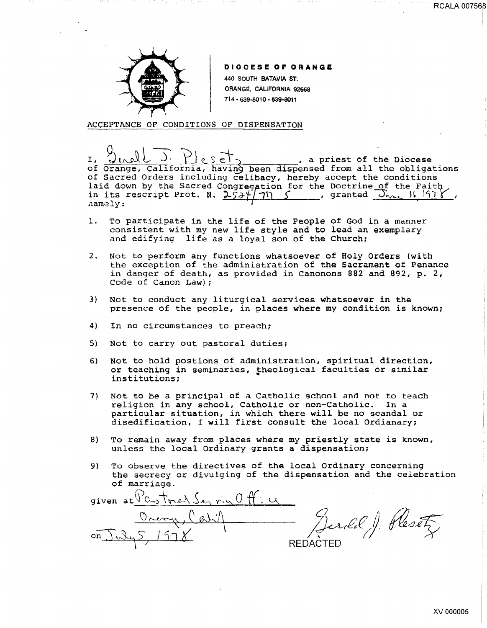

#### DIOCESE OF ORANGE

440 SOUTH BATAVIA ST. ORANGE, CAUFORNIA 92668 714 • 639·801 0 • 639·6011

ACCEPTANCE OF CONDITIONS OF DISPENSATION

I,  $\frac{1}{2}$   $\frac{1}{2}$   $\frac{1}{2}$   $\frac{1}{2}$   $\frac{1}{2}$   $\frac{1}{2}$   $\frac{1}{2}$   $\frac{1}{2}$   $\frac{1}{2}$   $\frac{1}{2}$   $\frac{1}{2}$   $\frac{1}{2}$   $\frac{1}{2}$   $\frac{1}{2}$   $\frac{1}{2}$   $\frac{1}{2}$   $\frac{1}{2}$   $\frac{1}{2}$   $\frac{1}{2}$   $\frac{1}{2}$   $\frac{1}{2}$   $\frac{1}{2}$ of Orange, California, having been dispensed from all the obligations of Sacred Orders including celibacy, hereby accept the conditions laid down by the Sacred Congregation for the Doctrine of the Faith in its rescript Prot. N.  $2\overline{5}3\overline{7}$  7 S , granted  $\overline{0}$ <sub>WML</sub> 16 1978 !l.amely; I '

- 1. To participate in the life of the People of God in a manner consistent with my new life style and to lead an exemplary and edifying life as a loyal son of the Church;
- 2. Not to perform any functions whatsoever of Holy Orders {with the exception of the administration of the Sacrament of Penance in danger of death, as provided in Canonons 882 and 892, p. 2, Code of Canon Law) ;
- 3) Not to conduct any liturgical services whatsoever in the presence of the people, in places where my condition is known;
- 4) In no circumstances to preach;
- 5) Not to carry out pastoral duties;
- 6) Not to hold postions of administration, spiritual direction, or teaching in seminaries, theological faculties or similar institutions;
- 7) Not to be a principal of a Catholic school and not to teach religion in any school, Catholic or non-Catholic. In a particular situation, in which there will be no scandal or disedification, I will first consult the local Ordianary;
- 8) To remain away from places where my priestly state is known, unless the local Ordinary grants a dispensation;
- 9) To observe the directives of the local Ordinary concerning the secrecy or divulging of the dispensation and the celebration of marriage.

given at  $\frac{\Gamma_{0.5}+\Gamma_{0.6}\sqrt{2}}{\Gamma_{0.6}+\Gamma_{0.6}\sqrt{2}}$ erild J. Resetz  $\vee$   $\vee$ **REDACTED** 

RCALA 007568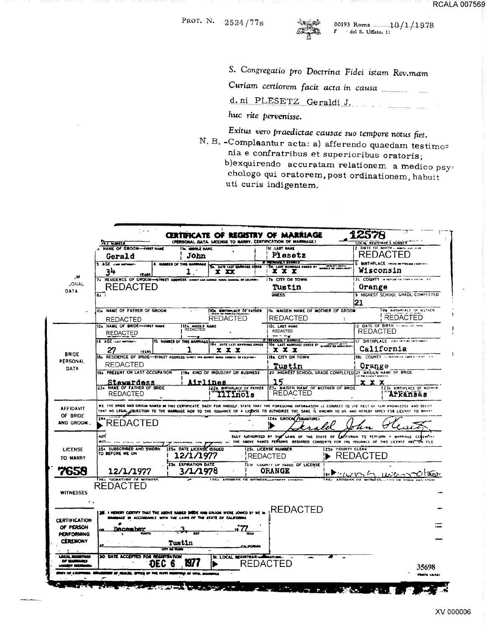

00193 Roma 10/1/1978<br> $\frac{10}{1}$  del S. Uffisio, 11

S. Congregatio pro Doctrina Fidei istam Rev.mam

d.ni PLESETZ Geraldi J.

huc rite pervenisse.

Exitus vero praedictae causae suo tempore notus fiet.

N. B. - Complaantur acta: a) afferendo quaedam testimo= nia e confratribus et superioribus oratoris; b) exquirendo accuratam relationem a medico psychologo qui oratorem, post ordinationem, habuit uti curis indigentem.

|                                                          | <b>FR.E. HUMBER</b>                                                                                                                                               |         |                                   |                                              |                 | CERTIFICATE OF REGISTRY OF MARRIAGE<br>(PERSONAL DATA. LICENSE TO MARRY, CERTIFICATION OF MARRIAGE)                                                                       |                   |                  | LOCAL REGISTRAR'S NUMBER                            |
|----------------------------------------------------------|-------------------------------------------------------------------------------------------------------------------------------------------------------------------|---------|-----------------------------------|----------------------------------------------|-----------------|---------------------------------------------------------------------------------------------------------------------------------------------------------------------------|-------------------|------------------|-----------------------------------------------------|
|                                                          | <b>NAME OF GROOM-FIRST NAME</b>                                                                                                                                   |         | IN MOOLE NAME                     |                                              |                 | <b>SC. LAST NAME</b>                                                                                                                                                      |                   |                  | 2 DATE OF BIRTH- - ----- CAT ITAL                   |
|                                                          | John<br>Gerald                                                                                                                                                    |         |                                   |                                              |                 | Plesetz                                                                                                                                                                   |                   | REDACTED         |                                                     |
|                                                          | 3 AGE HARTHAMS                                                                                                                                                    |         | 4. NUMBER OF THIS MARRIAGE        | SA. DATE LAST MARPIAGE ENGED                 |                 | <b>F PREVIOUSLY MARGED</b><br>58. LAST NARMACE ENGED BT                                                                                                                   | <b>REWY DEATH</b> |                  | 6 BIRTHPLACE ITEM OF FREEH COUNTRY                  |
|                                                          | 34<br><b>TEARS</b>                                                                                                                                                |         |                                   | x xx                                         |                 | x x x                                                                                                                                                                     |                   | <b>Wisconsin</b> |                                                     |
| ابلار                                                    | 7x RESIDENCE OF GROOM-STREET ADDRESS ISHINGT NON MODALE NUMAL AND MELOCATIONS                                                                                     |         |                                   |                                              |                 | 78 CITY OR TOWN                                                                                                                                                           |                   |                  | 70 COUNTY - In restrict case of the Care Art        |
| <b>JONAL</b>                                             | REDACTED                                                                                                                                                          |         |                                   |                                              |                 | <b>Tustin</b>                                                                                                                                                             |                   | Orange           |                                                     |
| DATA                                                     | 84                                                                                                                                                                |         |                                   |                                              |                 | <b>INESS</b>                                                                                                                                                              |                   |                  | 9 HIGHEST SCHOOL GRADE COMPLETED                    |
|                                                          |                                                                                                                                                                   |         |                                   |                                              |                 |                                                                                                                                                                           |                   | 21               |                                                     |
|                                                          | IOA NAME OF FATHER OF GROOM                                                                                                                                       |         |                                   | <b>IOR. ENTHPLACE OF FATHER</b>              |                 | ITA. MAIDEN NAME OF MOTHER OF GROOM                                                                                                                                       |                   |                  | He NIRTHPLACE OF SOTHER                             |
|                                                          | <b>REDACTED</b>                                                                                                                                                   |         |                                   | <b>REDACTED</b>                              |                 | <b>REDACTED</b>                                                                                                                                                           |                   |                  | <b>REDACTED</b>                                     |
|                                                          | 12A NAME OF BRIDE-FIRST NAME                                                                                                                                      |         |                                   |                                              |                 | 12c. LAST NAME                                                                                                                                                            |                   |                  | 13 DATE OF BIRTH - ------ LAT TIAL                  |
|                                                          | REDACTED                                                                                                                                                          |         | 12. MOOLE NAME                    |                                              |                 | <b>REDACTED</b>                                                                                                                                                           |                   | REDACTED         |                                                     |
|                                                          | 14 AGE -Last methods)                                                                                                                                             |         | <b>15 NUMBER OF THIS MARRIAGE</b> |                                              |                 | IF FAEVIOUSLY HARRICE                                                                                                                                                     |                   |                  | 17 SIRTHPLACE State on their continues.             |
|                                                          |                                                                                                                                                                   |         |                                   | ххх                                          |                 | 164 DATE LAST NARRIAGE ENDED 1168. LAST NARRIAGE ENDED BY SUNGER BO ANNULRENT<br>x x x                                                                                    |                   |                  | California                                          |
| <b>BRIDE</b>                                             | 27<br><b>YEARS</b><br>IBA RESIDENCE OF BRIDE-STREET ADDRESS ISTRETT AND MOVING BURN ADDRESS IN OCCURRENT                                                          |         |                                   |                                              |                 | 188. CITY OR TOWN                                                                                                                                                         |                   |                  | 18c COUNTY - I notine callonnia teste in            |
| <b>PERSONAL</b>                                          | <b>REDACTED</b>                                                                                                                                                   |         |                                   |                                              |                 |                                                                                                                                                                           |                   |                  |                                                     |
| DATA                                                     | 194 PRESENT OR LAST OCCUPATION                                                                                                                                    |         |                                   |                                              |                 | Tustin                                                                                                                                                                    |                   | Orange           |                                                     |
|                                                          |                                                                                                                                                                   |         |                                   | 1194 KIND OF INDUSTRY OR BUSINESS            |                 | 20 HIGHEST SCHOOL GRADE COMPLETED 21 MAIDEN HAME OF BRIDE                                                                                                                 |                   |                  |                                                     |
|                                                          | Stewardess                                                                                                                                                        |         |                                   | <u>irlines</u>                               |                 | 15                                                                                                                                                                        |                   | x x x            |                                                     |
|                                                          | <b>22x NAME OF FATHER OF BRIDE</b><br><b>REDACTED</b>                                                                                                             |         |                                   | 220. SIRTHPLACE OF FATHER<br><b>MITIñols</b> |                 | 23x MAIDEN NAME OF MOTHER OF BRIDE<br><b>REDACTED</b>                                                                                                                     |                   |                  | 1236 BIRTHPLACE OF MOTHIE<br><i><b>Arkansas</b></i> |
|                                                          |                                                                                                                                                                   |         |                                   |                                              |                 |                                                                                                                                                                           |                   |                  |                                                     |
|                                                          | WE THE BRIDE AND GROOM HAMED IN THIS CERTIFICATE. EACH FOR HINSELF, STATE THAT THE FOREGOING INFORMATION IS CORRECT TO THE REST OF FUR RIOWIEDSE AND BELIEF<br>24 |         |                                   |                                              |                 | NO LEGAL DEJECTION TO THE MARRIAGE NOR TO THE ISSUANCE OF A LICENSE TO AUTHORIZE THE SAME IS KNOWN TO US AND HEREBY APPLY FOR LICENSE TO MAHAY<br>124s GROOM / SIGHATURE) |                   |                  |                                                     |
| <b>AFFIDAVIT</b><br>OF BRIDE<br>AND GROOM.               | REDACTED<br>AUT                                                                                                                                                   |         |                                   |                                              |                 | BULY AUTHORIZED BY THE LAWS OF THE STATE OF EXTENSIVE TO PERFORM A MARRIAGE CEREMON                                                                                       |                   |                  |                                                     |
|                                                          | 254 SUBSCRIBED AND SWORN                                                                                                                                          |         | <b>125. DATE LICENSE ISSUED</b>   |                                              |                 | THE ABOVE NAMED PERSONS REDIRED CONSENTS FOR THE ISSUANCE OF THIS LICENSE ARE ON FILE<br>25c. LICENSE NUMBER                                                              | 1250 COUNTY CLERK |                  |                                                     |
|                                                          | TO BEFORE ME ON                                                                                                                                                   |         | 12/1/1977                         |                                              | <b>REDACTED</b> |                                                                                                                                                                           |                   | <b>REDACTED</b>  |                                                     |
| <b>LICENSE</b><br>TO MARRY                               |                                                                                                                                                                   |         | <b>34. EXPIRATION DATE</b>        |                                              |                 | That COUNTY OF TODUE OF LICENSE                                                                                                                                           |                   |                  |                                                     |
| 7658                                                     | 12/1/1977                                                                                                                                                         |         | 3/1/1978                          |                                              |                 | ORANGE                                                                                                                                                                    |                   |                  |                                                     |
|                                                          | <b>JSEL CICMATINGE OF WITNESS</b>                                                                                                                                 |         |                                   | Inc., innoces or writters                    |                 |                                                                                                                                                                           | a hnne-           |                  |                                                     |
|                                                          | <b>REDACTED</b>                                                                                                                                                   |         |                                   |                                              |                 |                                                                                                                                                                           |                   |                  |                                                     |
| <b>WITNESSES</b>                                         |                                                                                                                                                                   |         |                                   |                                              |                 |                                                                                                                                                                           |                   |                  |                                                     |
| $\bullet$ .                                              |                                                                                                                                                                   |         |                                   |                                              |                 |                                                                                                                                                                           |                   |                  |                                                     |
|                                                          |                                                                                                                                                                   |         |                                   |                                              |                 |                                                                                                                                                                           |                   |                  |                                                     |
|                                                          | 20. I HEREBY CERTIFY THAT THE ABOVE RAMED SHIDE AND GROOM WERE JOINED BY ME II<br>MANUAGE IN ACCORDANCE WITH THE LAWS OF THE STATE OF CALIFORNA                   |         |                                   |                                              |                 | <b>REDACTED</b>                                                                                                                                                           |                   |                  |                                                     |
|                                                          |                                                                                                                                                                   |         |                                   |                                              |                 |                                                                                                                                                                           |                   |                  |                                                     |
|                                                          | <b>December</b>                                                                                                                                                   |         |                                   |                                              | <b>WAY</b>      |                                                                                                                                                                           |                   |                  |                                                     |
| CERTIFICATION<br>OF PERSON<br><b>PERFORMING</b>          |                                                                                                                                                                   |         |                                   |                                              |                 |                                                                                                                                                                           |                   |                  |                                                     |
|                                                          |                                                                                                                                                                   |         | Tustin                            |                                              | LAL IFORMA      |                                                                                                                                                                           |                   |                  |                                                     |
|                                                          |                                                                                                                                                                   | on a ta |                                   |                                              |                 |                                                                                                                                                                           |                   |                  |                                                     |
| <b>CEREMONY</b><br>LOCAL BEGINTEER<br><b>DF EMBRANCE</b> | <b>30. DATE ACCEPTED FOR REGISTRATION</b>                                                                                                                         |         |                                   | <b>31. LOCAL REGISTRAR-</b>                  |                 | <b>BLATIME.</b>                                                                                                                                                           |                   |                  |                                                     |
| <b>BYY SHO</b><br>ix or <i>ca</i> u                      |                                                                                                                                                                   |         | W                                 |                                              | REDA            |                                                                                                                                                                           |                   |                  | 35698<br><b>Thurs 14-241</b>                        |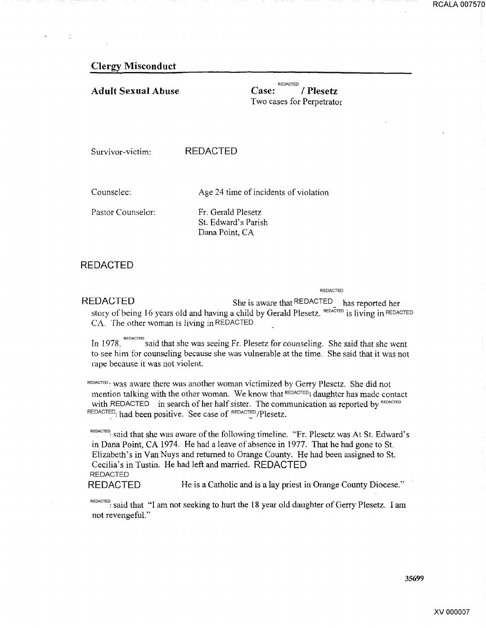#### Clergy Misconduct

#### Adult Sexual Abuse

Case: REDACTED / Plesetz Two cases for Perpetrator

Survivor-victim: REDACTED

Counselee:

Age 24 time of incidents of violation

Pastor Counselor:

Fr. Gerald Plesetz St. Edward's Parish Dana Point, CA

#### REDACTED

REDACTED

REDACTED She is aware that REDACTED has reported her story of being 16 years old and having a child by Gerald Plesetz. REDACTED is living in REDACTED CA. The other woman is living in REDACTED

In 1978.  $REDACTED$  said that she was seeing Fr. Plesetz for counseling. She said that she went to see him for counseling because she was vulnerable at the time. She said that it was not rape because it was not violent.

REDACTED : Was aware there was another woman victimized by Gerry Plesetz. She did not mention talking with the other woman. We know that REDACTED; daughter has made contact with REDACTED in search of her half sister. The communication as reported by REDACTED REDACTED: had been positive. See case of REDACTED/Plesetz.

REDACTED: Said that she was aware of the following timeline. "Fr. Plesetz was At St. Edward's in Dana Point, CA 1974. He had a leave of absence in 1977. That he had gone to St. Elizabeth's in Van Nuys and retumed to Orange County. He had been assigned to St. Cecilia's in Tustin. He had left and married. REDACTED REDACTED

REDACTED He is a Catholic and is a lay priest in Orange County Diocese."

REDACTED: said that "I am not seeking to hurt the 18 year old daughter of Gerry Plesetz. I am not revengeful."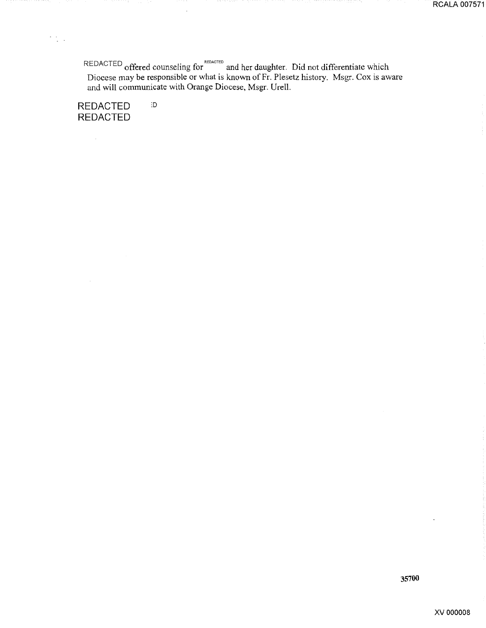REDACTED offered counseling for Reparties and her daughter. Did not differentiate which Diocese may be responsible or what is known of Fr. Plesetz history. Msgr. Cox is aware and will communicate with Orange Diocese, Msgr. Urell.

**REDACTED** :o **REDACTED** 

 $\sim$ 

 $\frac{1}{2} \frac{1}{2} \frac{1}{2}$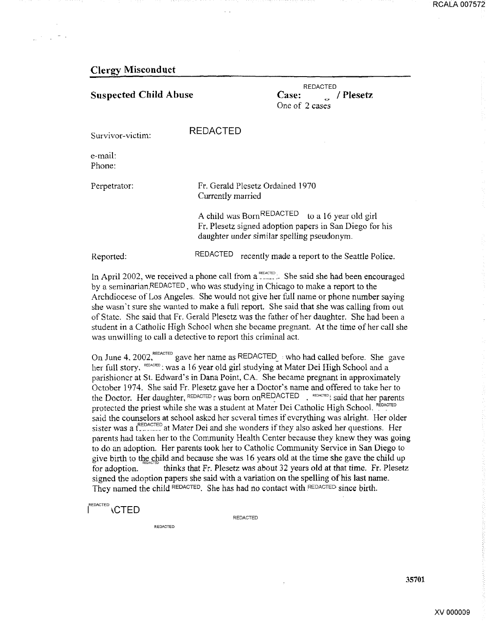#### Clergy Misconduct

| <b>Suspected Child Abuse</b> |                                                       | <b>REDACTED</b><br>Case:<br>/ Plesetz<br>One of 2 cases                                                                                                             |  |
|------------------------------|-------------------------------------------------------|---------------------------------------------------------------------------------------------------------------------------------------------------------------------|--|
| Survivor-victim:             | <b>REDACTED</b>                                       |                                                                                                                                                                     |  |
| e-mail:<br>Phone:            |                                                       |                                                                                                                                                                     |  |
| Perpetrator:                 | Fr. Gerald Plesetz Ordained 1970<br>Currently married |                                                                                                                                                                     |  |
|                              |                                                       | A child was Born <sup>REDACTED</sup> to a 16 year old girl<br>Fr. Plesetz signed adoption papers in San Diego for his<br>daughter under similar spelling pseudonym. |  |
| Reported:                    | REDACTED                                              | recently made a report to the Seattle Police.                                                                                                                       |  |

In April 2002, we received a phone call from a  $\frac{1}{2}$  She said she had been encouraged by a seminarian,REDACTED, who was studying in Chicago to make a report to the Archdiocese of Los Angeles. She would not give her full name or phone number saying she wasn't sure she wanted to make a full report. She said that she was calling from out of State. She said that Fr. Gerald Plesetz was the father ofher daughter. She had been a student in a Catholic High School when she became pregnant. At the time of her call she was unwilling to call a detective to report this criminal act.

On June 4. 2002,<sup>REDACTED</sup> gave her name as REDACTED : who had called before. She gave her full story. REDACTED: was a 16 year old girl studying at Mater Dei High School and a parishioner at St. Edward's in Dana Point, CA. She became pregnant in approximately October 1974. She said Fr. Plesetz gave her a Doctor's name and offered to take her to the Doctor. Her daughter, REDACTED r was born on REDACTED . REDWITED is aid that her parents protected the priest while she was a student at Mater Dei Catholic High School. REDACTED said the counselors at school asked her several times if everything was alright. Her older sister was a  $t^{REDACTED}_{\text{R}}$  at Mater Dei and she wonders if they also asked her questions. Her parents had taken her to the Community Health Center because they knew they was going to do an adoption. Her parents took her to Catholic Community Service in San Diego to give birth to the child and because she was 16 years old at the time she gave the child up for adoption. thinks that Fr. Plesetz was about 32 years old at that time. Fr. Plesetz signed the adoption papers she said with a variation on the spelling of his last name. They named the child REDACTED. She has had no contact with REDACTED since birth.

I<sup>REDACTED</sup> \CTED

REDACTED

REDACTED

**RCALA 007572**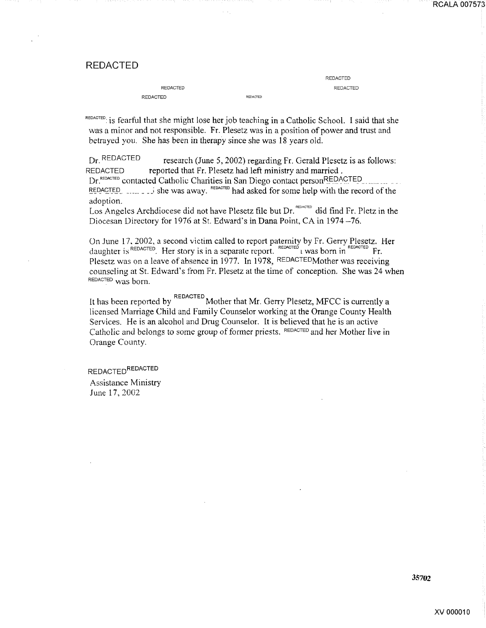#### REDACTED

| REDACTED |          |
|----------|----------|
| REDACTED | REDACTED |

REDACTED REDACTED

REDACTED: is fearful that she might lose her job teaching in a Catholic School. I said that she was a minor and not responsible. Fr. Plesetz was in a position of power and trust and betrayed you. She has been in therapy since she was 18 years old.

Dr. REDACTED research (June 5, 2002) regarding Fr. Gerald Plesetz is as follows: REDACTED reported that Fr. Plesetz had left ministry and married . Dr. REDACTED contacted Catholic Charities in San Diego contact person REDACTED REDACTED  $\ldots$   $\ldots$  is the was away. REDACTED had asked for some help with the record of the adoption.

Los Angeles Archdiocese did not have Plesetz file but Dr.  $R_{\text{EddC}}$  did find Fr. Pletz in the Diocesan Directory for 1976 at St. Edward's in Dana Point, CA in 1974-76.

On June 17, 2002, a second victim called to report paternity by Fr. Gerry Plesetz. Her daughter is REDACTED. Her story is in a separate report. The example is separate report. Plesetz was on a leave of absence in 1977. In 1978, REDACTEDMother was receiving counseling at St. Edward's from Fr. Plesetz at the time of conception. She was 24 when REDACTED was born.

It has been reported by REDACTED Mother that Mr. Gerry Plesetz, MFCC is currently a licensed Marriage Child and Family Counselor working at the Orange County Health Services. He is an alcohol and Drug Counselor. It is believed that he is an active Catholic and belongs to some group of former priests. REDACTED and her Mother live in Orange County.

REDACTED<sup>REDACTED</sup> Assistance Ministry June 17, 2002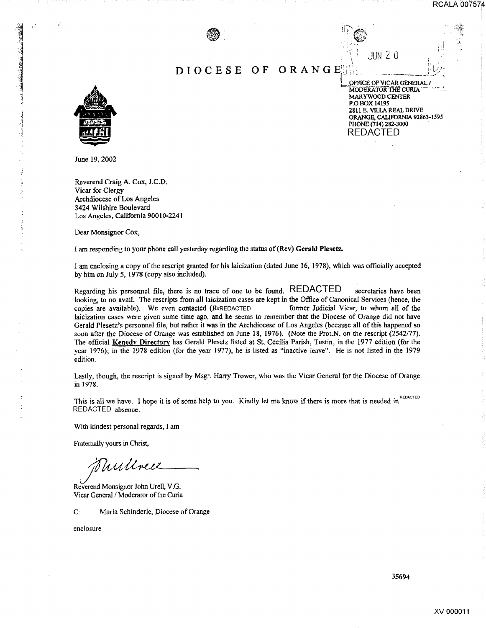RCALA 007574



#### DIOCESE **OF**  ORANGE



OFFICE OF VICAR GENERAL / MODERATOR THE CURIA MARYWOOD CENTER **P.O BOX 14195** 2811 E. VILLA REAL DRIVE ORANGE, CALIFORNIA 92863-1595 PHONE (714) 282-3000 REDACTED

 $JUN$   $20$ 

June 19, 2002

Reverend Craig A. Cox, J.C.D. Vicar for Clergy Archdiocese of Los Angeles 3424 Wilshire Boulevard Los Angeles, California 90010-2241

Dear Monsignor Cox,

I am responding to your phone call yesterday regarding the status of (Rev) **Gerald** Plesetz.

I am enclosing a copy of the rescript granted for his laicization (dated June 16, 1978), which was officially accepted by him on July 5, 1978 (copy also included).

Regarding his personnel file, there is no trace of one to be found. REDACTED secretaries have been looking, to no avail. The rescripts from all laicization cases are kept in the Office of Canonical Services (hence, the copies are available). We even contacted (REREDACTED former Judicial Vicar, to whom all of the Jaicization cases were given some time ago, and he seems to remember that the Diocese of Orange did not have Gerald Plesetz's personnel file, but rather it was in the Archdiocese of Los Angeles (because all of this happened so soon after the Diocese of Orange was established on June 18, 1976). (Note the Prot.N. on the rescript (2542/77). The official Kenedy Directory has Gerald Plesetz listed at St. Cecilia Parish, Tustin, in the 1977 edition (for the year 1976); in the 1978 edition (for the year 1977), he is listed as "inactive leave". He is not listed in the 1979 edition. *Containers Containers Containers* **<b>***Containers Containers* **<b>***Containers Containers*

Lastly, though, the rescript is signed by Msgr. Harry Trower, who was the Vicar General for the Diocese of Orange in 1978.

This is all we have. I hope it is of some help to you. Kindly let me know if there is more that is needed in REDACTED REDACTED absence. This is all we have. I hope it is of some help to you. Kindly let me know if the<br>REDACTED absence.<br>With kindest personal regards, I am<br>Fratemally yours in Christ,<br>Reverend Monsignor John Urell, V.G.<br>Vicar General / Moderat

With kindest personal regards, I am

Fraternally yours in Christ,

Vicar General / Moderator of the Curia

C: Maria Schinderle, Diocese of Orange

enclosure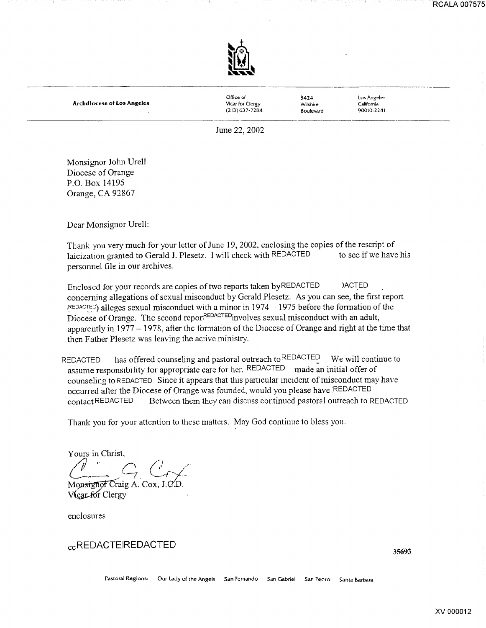

Archdiocese of Los Angeles

Office of VIcar for Clergy (213)637-7284

~424 Wilshire Boulevard Los Angeles **California** 90010-2241

June 22, 2002

Monsignor John Urell Diocese of Orange P.O. Box 14195 Orange, CA 92867

Dear Monsignor Urell:

Thank you very much for your letter of June 19, 2002, enclosing the copies of the rescript of laicization granted to Gerald J. Plesetz. I will check with REDACTED to see if we have his personnel file in our archives.

Enclosed for your records are copies of two reports taken by REDACTED )ACTED conceming allegations of sexual misconduct by Gerald Plesetz. As you can see, the first report  $REDACTER$ ) alleges sexual misconduct with a minor in 1974 – 1975 before the formation of the Diocese of Orange. The second repor<sup>REDACTED</sup> involves sexual misconduct with an adult, apparently in  $1977 - 1978$ , after the formation of the Diocese of Orange and right at the time that then Father Plesetz was leaving the active ministry.

REDACTED has offered counseling and pastoral outreach to  $REDACTED$  We will continue to assume responsibility for appropriate care for her. REDACTED made an initial offer of counseling to REDACTED Since it appears that this particular incident of misconduct may have occurred after the Diocese of Orange was founded, would you please have REDACTED contact REDACTED Between them they can discuss continued pastoral outreach to REDACTED

Thank you for your attention to these matters. May God continue to bless you.

*Yours in Christ,*<br> *<i>/ // // <i>// /// /// /// /// /// /// /// /// /// /// /// /// /// /// /// /// /// /// /// /// /// /// /// /// /// /// /// /// /// ///*  $G_{\cdot}$  Cry

Monsignot Craig A. Cox, Vicar for Clergy

enclosures

ccREDACTEIREDACTED

Pastoral Regions: Our Lady of the Angels San Fernando San Gabriel San Pedro Santa Barbara

XV 000012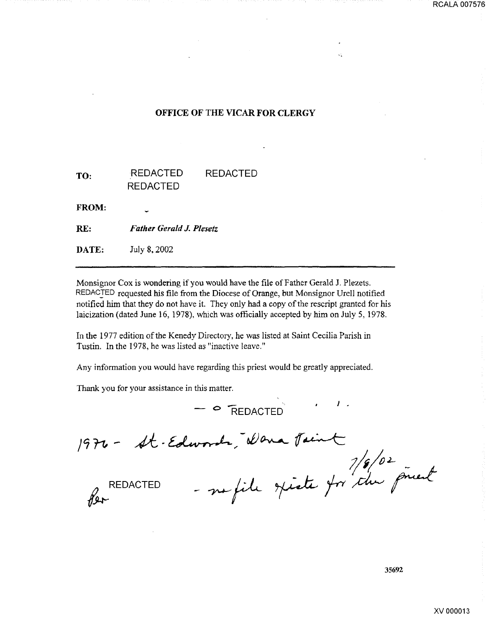#### OFFICE OF THE VICAR FOR CLERGY

| TO: | <b>REDACTED</b> | <b>REDACTED</b> |
|-----|-----------------|-----------------|
|     | <b>REDACTED</b> |                 |

FROM:

RE: *Father Gerald J. Plesetz* 

DATE: July 8, 2002

Monsignor Cox is wondering if you would have the file of Father Gerald J. Plezets. REDACTED requested his file from the Diocese of Orange, but Monsignor Urell notified notified him that they do not have it. They only had a copy of the rescript granted for his laicization (dated June 16, 1978), which was officially accepted by him on July 5, 1978.

In the 1977 edition of the Kenedy Directory, he was listed at Saint Cecilia Parish in Tustin. In the 1978, he was listed as "inactive leave."

Any information you would have regarding this priest would be greatly appreciated.

- **O** REDACTED

Thank you for your assistance in this matter.

1976 - St-Edwards, Wara Jain

words, Wona Paint<br>- no file spiste for the preach

v.

**REDACTED**  $\gamma$ 

35692

RCALA 007576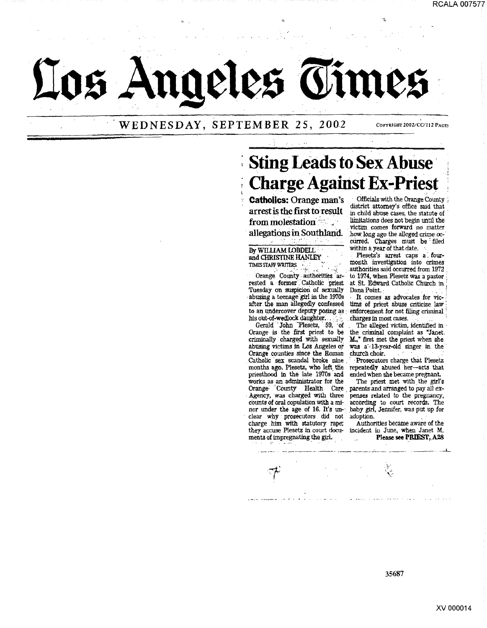

WEDNESDAY, SEPTEMBER 25, 2002

# **Sting Leads to Sex Abuse Charge Against Ex-Priest**

**Catholics: Orange man's** arrest is the first to result from molestation allegations in Southland.

#### By WILLIAM LOBDELL and CHRISTINE HANLEY TIMES STAFF WRITERS

Orange County authorities arrested a former Catholic priest Tuesday on suspicion of sexually abusing a teenage girl in the 1970s after the man allegedly confessed to an undercover deputy posing as his out-of-wedlock daughter.

Gerald John Plesetz, 59, of Orange is the first priest to be criminally charged with sexually abusing victims in Los Angeles or Orange counties since the Roman Catholic sex scandal broke nine months ago. Plesetz, who left the priesthood in the late 1970s and works as an administrator for the<br>Orange County Health Care Agency, was charged with three counts of oral copulation with a minor under the age of 16. It's unclear why prosecutors did not charge him with statutory rape; they accuse Plesetz in court documents of impregnating the girl.

Officials with the Orange County district attorney's office said that in child abuse cases, the statute of limitations does not begin until the victim comes forward no matter how long ago the alleged crime occurred. Charges must be filed within a year of that date.

COPYRIGHT 2002/CC/112 PAGES

Plesetz's arrest caps a fourmonth investigation into crimes authorities said occurred from 1972 to 1974, when Plesetz was a pastor at St. Edward Catholic Church in Dana Point.

It comes as advocates for victims of priest abuse criticize law enforcement for not filing criminal charges in most cases.

The alleged victim, identified in the criminal complaint as "Janet. M." first met the priest when she<br>was a'-13-year-old singer in the church choir.

Prosecutors charge that Plesetz repeatedly abused her-acts that ended when she became pregnant.

The priest met with the girl's parents and arranged to pay all expenses related to the pregnancy, according to court records. The baby girl, Jennifer, was put up for adoption.

Authorities became aware of the incident in June, when Janet M. Please see PRIEST, A28

 $\sum_{i=1}^{N}$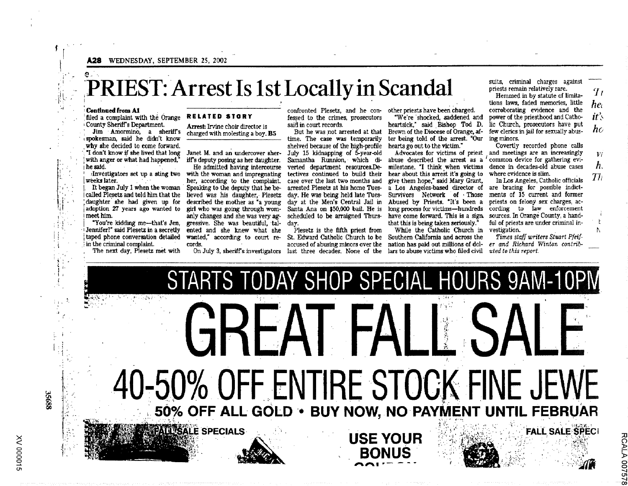A28 WEDNESDAY, SEPTEMBER 25, 2002

### e. PRIEST: Arrest Is 1st Locally in Scandal

.~.~.o": r··l···

#### Continued from A1

 $\frac{r}{r}$ 

 $\mathbf{I}_{\mathbf{I}}$ j 'I  $\cdot$  r  $\cdot$ ·\_,

i:.

I •  $\mathbb{R}^{\infty}$  $\mathbb{R}^n$  .  $\cdot$  t  $\cdot$  . i i

 $^{\rm i}$  if  $^{\rm i}$  $\prod_{i=1}^{N-1}$ 

 $\mathbb{R}^{1/2}$ 

 $\mathbf{a}$ 

·[: ·1 .•.

 $^\bullet$  +  $^\bullet$  +

:· ....  $\int_{\mathbb{R}^{3}}\mathbb{P}_{\mathbb{R}^{3}}\left( \mathbb{R}^{3}\right)$ r.

•

filed a complaint with the Orange **RELATED STORY** County Sheriff's Department.

spokesman, said he didn't know<br>why she decided to come forward. why she decided to come forward.<br>The lived that long Janet M. and an undercover sher- July 15 kidnapping of 5-year-old<sup>3</sup>

• 1 Jennifer?" said Plesetz in a secretly ented and she knew what she i taped phone conversation detailed wanted," according to court re- . : In the criminal complaint. . cords.

<sup>t</sup>·•·M''' l ~ ''··i4·>' > ~~L' ..• • . '' ·~~,.- :1!' .,~;. ,~·~-~''l ~ . '• . ~··' ~ :.:~. ·.: .~, ~ •t~:\_ <sup>l</sup>

. .. ------

County Sheriff's Department.<br>I'm Amormino, a sheriff's charged with molesting a boy. charged with molesting a boy. B5

i With anger or what had happened," iffs deputy posing as her daughter. the said. **In the same intercourse intercourse** verted department resources. De-' ;Investigators set up a sting two with the woman and impregnating I weeks later. . · . -· her, according to the complaint. It began July 1 when the woman Speaking to the deputy that he bel called Pl~setz and told him that the lieved was his daughter, Plesetz day. He was being held late Tuesadoption 27 years ago wanted to girl who was going through wom-<br>meet him.  $\frac{1}{2}$  and changes and she was very ago anly changes and she was very ag-"You're kidding me---that's Jen, gressive. She was beautiful, tal-<br>Jennifer?" said Plesetz in a secretly ented and she knew what she daughter she had given up for described the mother as a young day at the Men's Central Jail in

The next day, Plesetz met with On July 3, sheriffs investigators last three decades. None of the

**AND SALE SPECIALS** 

·~~::

fessed to the crimes, prosecutors said in court records.

time. The case was temporarily shelved because of the high-profile Samantha Runnion, which ditectives continued to build their case over the last two months and arrested Plesetz at his home Tues-Santa Ana on \$50,000 bail. He is scheduled to be arraigned Thursday.

Plesetz is the fifth priest from

STARTS TODAY SHOP SPECIAL HOURS 9AM-10P

But he was not arrested at that he Brown of the Diocese of Orange, af- few clerics in jail for sexually abuster being told of the arrest. "Our ing minors.<br>hearts go out to the victim." Covertly

abuse described the arrest as  $a^{\prime}$  common device for gathering evi-<br>milestone. "I think when victims dence in decades-old abuse cases milestone. "I think when victims dence in decades-old bear about this arrest it's going to where evidence is slim. hear about this arrest it's going to where evidence is slim.<br>
give them hope." said Mary Grant. In Los Angeles. Catholic officials a Los Angeles-based director of are bracing for possible indict-<br>Survivors Network of Those ments of  $15$  current and former Survivors Network of Those ments of  $15$  current and former<br>Abused by Priests. "It's been a priests on felony sex charges, ac-France by Priests. The priority of the priority of the priority of the priority of the priority of the priority of the priority of the priority of the priority of the priority of the priority of the priority of the priorit

St. Edward Catholic Church to be Southern California and across the *Times staff writers Stuart Pfeif*accused of abusing minors over the nation has paid out millions of dol- *er and Richard Winton contrib*that this is being taken seriously." ful of priests While the Catholic Church in-vestigation. While the Catholic Church in vestigation.<br>buthern California and across the Times staff writers Stuart Pfeiflars to abuse victims who filed civil *uted to this report.* 

suits, criminal charges against priests remain relatively rare.

Hemmed in by statute of limitations laws, faded memories, little *'lr he, it:, he*  confronted Plesetz, and he con- other priests have been charged. corroborating evidence and the **• We're shocked, saddened and power of the priesthood and Catho-**<br>heartsick." said Bishop Tod D. lic Church, prosecutors have put lic Church, prosecutors have put<br>few clerics in iail for sexually abus-

Covertly recorded phone calls Advocates for victims of priest and meetings are an increasingly

Vi *h.*   $\boldsymbol{\mathcal{T}}$ li

> t  $\mathbb{N}$

> > u<br>አር s;: <u>0075</u>  $\overline{\phantom{a}}$ 00

have come forward. This is a sign. sources. In Orange County, a hand-<br>that this is being taken seriously." ful of priests are under criminal in-

•:. 'f

' **'** ~;  $\mathbf{r}_{\star}$ '· 1-50% OFF ENTIRE STOCK FINE JEWE<br>50% OFF ALL GOLD • BUY NOW. NO PAYMENT UNTIL FEBRUAR 50% OFF ALL GOLD · BUY NOW, NO PAYMENT UNT r~\ ....... ~.- ~·~ .. ~ ~ -·1 ~ •• . ~, :\_ • • • . • • . • :. • • ·~ )~ ~~.! USE YOUR ).::'.'-;:· "';-~j:,;;~.-~~:r;~ ·. c.i *.·:* 'FALL,SAt~:~~~Ci ' . -~--:?':'(~·-;' : ... · :' .: :. '~f~~~-~· BONUS · ··- ... ·· ·· -. · · · · . ·-· <sup>1</sup> . • . ,' *i* ;J:i::;::.:. . ' . . '' ·\_ ·,.~:·,·:Ttii  $"$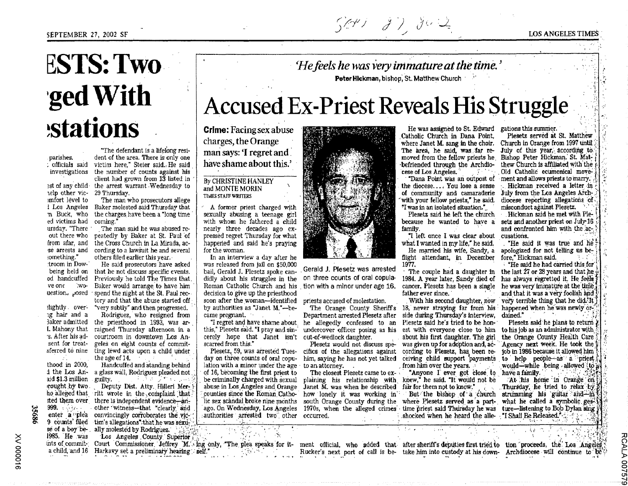## 504) 87, 802

# **ESTS: Two** 'ged With **stations**

parishes.

telp other vic- 29 Thursday. imfort level to ed victims had coming." ursday, "There out there who from afar, and se arrests and something." troom in Dow-

ve one

ig hair and a sent for treat-

rought by two. 999.  $\frac{1}{2}$ 35686 enter a plea

"The defendant is a lifelong resident of the area. There is only one . officials said victim here," Steier said. He said investigations the number of counts against his chent had grown from 13 listed in

est of any child the arrest warrant Wednesday to

The man who prosecutors allege 1 Los Angeles Baker molested said Thursday that n Buck, who the charges have been a "long time"

The man said he was abused repeatedly by Baker at St. Paul of the Cross Church in La Mirada, according to a lawsuit he and several others filed earlier this year.

He said prosecutors have asked being held on that he not discuss specific events. od handcuffed Previously he told The Times that wo- Baker would arrange to have him uestion, posed spend the night at the St. Paul rectory and that the abuse started off

slightly over- "very subtly" and then progressed. Rodriguez, who resigned from 3aker admitted the priesthood in 1993, was ar-I. Mahony that raigned Thursday afternoon in a s. After his ad- courtroom in downtown Los Angeles on eight counts of commitsferred to nine ting lewd acts upon a child under

the age of 14. thood in 2000. Handcuffed and standing behind d the Los An- a glass wall. Rodriguez pleaded not aid \$1.3 million  $\mathcal{F} \in \mathcal{F}$  , and  $\mathcal{F} \in \mathcal{F}$  , and  $\mathcal{F} \in \mathcal{F}$ . guilty. Deputy Dist. Atty. Hilleri Merho alleged that ritt wrote in the complaint that. sted them over there is independent evidence—another witness-that "clearly and convincingly corroborates the vic-9 counts' filed tim's allegations" that he was sexuse of a boy be- ally molested by Rodriguez.

1985. He was Los Angeles County Superior ints of commit- Court Commissioner Jeffrey M. ing only, "The plea speaks for it- ment official, who added that after sheriff's deputies first tried to tion proceeds, the Los Angeles a child, and 16 Harkavy set a preliminary hearing self."

'He feels he was very immature at the time.' Peter Hickman, bishop, St. Matthew Church

# **Accused Ex-Priest Reveals His Struggle**

**Crime:** Facing sex abuse charges, the Orange man says: 'I regret and have shame about this.'

#### By CHRISTINE HANLEY and MONTE MORIN TIMES STAFF WRITERS

A former priest charged with sexually abusing a teenage girl with whom he fathered a child nearly three decades ago expressed regret Thursday for what happened and said he's praying for the woman.

In an interview a day after he was released from jail on \$50,000 bail. Gerald J. Plesetz spoke candidly about his struggles in the Roman Catholic Church and his decision to give up the priesthood soon after the woman-identified by authorities as "Janet M."-became pregnant.

"I regret and have shame about this," Plesetz said. "I pray and sin-

day on three counts of oral copulation with a minor under the age to an attorney. ago. On Wednesday, Los Angeles 1970s, when the alleged crimes authorities arrested two other occurred.



Gerald J. Plesetz was arrested on three counts of oral copulation with a minor under age 16.

priests accused of molestation.

Department arrested Plesetz after he allegedly confessed to an undercover officer posing as his

Plesetz would not discuss spe-Plesetz, 59, was arrested Tues-cifics of the allegations against cording to Plesetz, has been rehim, saying he has not yet talked ceiving child support payments

The closest Plesetz came to ex-Janet M. was when he described how lonely it was working in south Orange County during the

He was assigned to St. Edward gations this summer. Catholic Church in Dana Point. where Janet M. sang in the choir. The area, he said, was far removed from the fellow priests he befriended through the Archdio- $\cos$  cese of Los Angeles.  $\mathcal{X}^{(1)}$  and

"Dana Point was an outpost of the diocese.... You lose a sense of community and camaraderie with your fellow priests." he said. "I was in an isolated situation."

Plesetz said he left the church because he wanted to have a family.

"I left once I was clear about what I wanted in my life." he said.

He married his wife, Sandy, a flight attendant, in December 1977.

The couple had a daughter in 1984. A year later. Sandy died of father ever since.

With his second daughter, now The Orange County Sheriff's 18, never straving far from his side during Thursday's interview. Plesetz said he's tried to be honest with everyone close to him about his first daughter. The girl was given up for adoption and, acfrom him over the years.

"Anyone I ever got close to plaining his relationship with knew," he said. "It would not be fair for them not to know."

But the bishop of a church where Plesetz served as a parttime priest said Thursday he was shocked when he heard the alle "I Shall Be Released.".

Plesetz served at St. Matthew Church in Orange from 1997 until July of this year, according to Bishop Peter Hickman. St. Matthew Church is affiliated with the Old Catholic ecumenical movement and allows priests to marry. Hickman received a letter in July from the Los Angeles Archdiocese reporting allegations of misconduct against Plesetz.

**LOS ANGELES TIMES** 

Hickman said he met with Plesetz and another priest on July 16 and confronted him with the accusations.

"He said it was true and he apologized for not telling us before." Hickman said.

"He said he had carried this for" the last 27 or 28 years and that he has always regretted it. He feels cancer. Plesetz has been a single he was very immature at the time and that it was a very foolish and very terrible thing that he did.'It happened when he was newly ordained."

Plesetz said he plans to return to his job as an administrator with the Orange County Health Care Agency next week. He took the tob in 1986 because it allowed him to help people-as a priest would-while being allowed to have a family.

At his home in Orange on Thursday, he tried to relax by strumming his guitar and in what he called a symbolic ges<sup>2</sup> ture-listening to Bob Dylan sing

Rucker's next port of call is be- take him into custody at his down- Archdiocese will continue to be

**RCALA** 

9200

cerely hope that Janet isn't out-of-wedlock daughter. scarred from this."

of 16, becoming the first priest to be criminally charged with sexual abuse in Los Angeles and Orange counties since the Roman Catholic sex scandal broke nine months